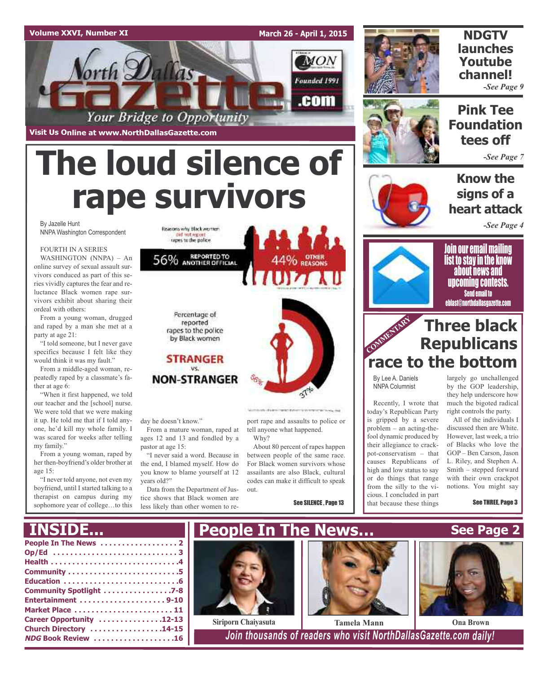

Readers why Black women did nut report<br>rapes to the police

56% REPORTED TO



### **NDGTV launches Youtube channel!** *-See Page 9*



## **Pink Tee Foundation tees off**

*-See Page 7*

**Know the signs of a heart attack**

*-See Page 4*



Join our email mailing list to stay in the know about news and upcoming contests. Send email to eblast@northdallasgazette.com

### COMMENTARY RES **Three black Republicans race to the bottom**

By Lee A. Daniels NNPA Columnist

Recently, I wrote that today's Republican Party is gripped by a severe problem – an acting-thefool dynamic produced by their allegiance to crackpot-conservatism – that causes Republicans of high and low status to say or do things that range from the silly to the vicious. I concluded in part that because these things

largely go unchallenged by the GOP leadership, they help underscore how much the bigoted radical right controls the party.

All of the individuals I discussed then are White. However, last week, a trio of Blacks who love the GOP – Ben Carson, Jason L. Riley, and Stephen A. Smith – stepped forward with their own crackpot notions. You might say

See THREE, Page 3

By Jazelle Hunt **rape survivors**

NNPA Washington Correspondent

### FOURTH IN A SERIES

WASHINGTON (NNPA) – An online survey of sexual assault survivors conduced as part of this series vividly captures the fear and reluctance Black women rape survivors exhibit about sharing their ordeal with others:

From a young woman, drugged and raped by a man she met at a party at age 21:

"I told someone, but I never gave specifics because I felt like they would think it was my fault."

From a middle-aged woman, repeatedly raped by a classmate's father at age 6:

"When it first happened, we told our teacher and the [school] nurse. We were told that we were making it up. He told me that if I told anyone, he'd kill my whole family. I was scared for weeks after telling my family."

From a young woman, raped by her then-boyfriend's older brother at age 15:

"I never told anyone, not even my boyfriend, until I started talking to a therapist on campus during my sophomore year of college…to this



day he doesn't know."

From a mature woman, raped at ages 12 and 13 and fondled by a pastor at age 15:

"I never said a word. Because in the end, I blamed myself. How do you know to blame yourself at 12 years old?"

Data from the Department of Justice shows that Black women are less likely than other women to re-



port rape and assaults to police or tell anyone what happened. Why?

About 80 percent of rapes happen between people of the same race. For Black women survivors whose assailants are also Black, cultural codes can make it difficult to speak out.

See SILENCE , Page 13

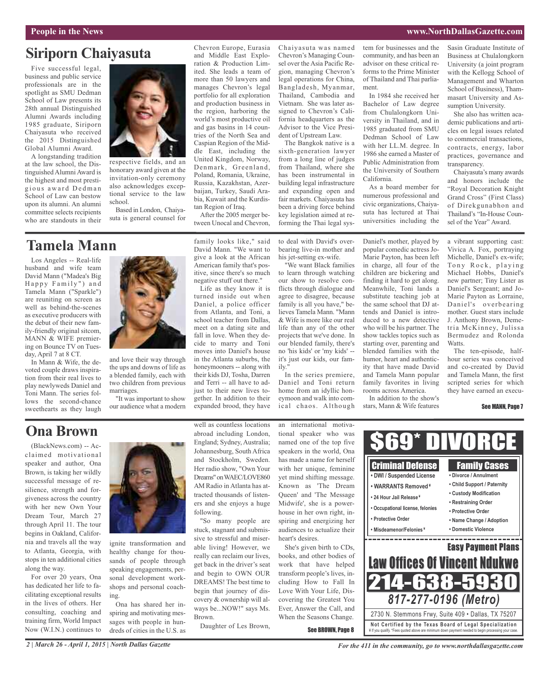### **People in the News www.NorthDallasGazette.com**

### **Siriporn Chaiyasuta**

Five successful legal, business and public service professionals are in the spotlight as SMU Dedman School of Law presents its 28th annual Distinguished Alumni Awards including 1985 graduate, Siriporn Chaiyasuta who received the 2015 Distinguished Global Alumni Award.

A longstanding tradition at the law school, the Distinguished Alumni Award is the highest and most prestigious award Dedman School of Law can bestow upon its alumni. An alumni committee selects recipients who are standouts in their



respective fields, and an honorary award given at the invitation-only ceremony also acknowledges exceptional service to the law school.

Based in London, Chaiyasuta is general counsel for

### **Tamela Mann**

Los Angeles -- Real-life husband and wife team David Mann ("Madea's Big Happy Family") and Tamela Mann ("Sparkle") are reuniting on screen as well as behind-the-scenes as executive producers with the debut of their new family-friendly original sitcom, MANN & WIFE premiering on Bounce TV on Tuesday, April 7 at 8 CT.

In Mann & Wife, the devoted couple draws inspiration from their real lives to play newlyweds Daniel and Toni Mann. The series follows the second-chance sweethearts as they laugh



and love their way through the ups and downs of life as a blended family, each with two children from previous marriages.

"It was important to show our audience what a modern

### Chevron Europe, Eurasia and Middle East Exploration & Production Limited. She leads a team of more than 50 lawyers and manages Chevron's legal portfolio for all exploration and production business in the region, harboring the world's most productive oil and gas basins in 14 countries of the North Sea and Caspian Region of the Middle East, including the United Kingdom, Norway, Denmark, Greenland, Poland, Romania, Ukraine, Russia, Kazakhstan, Azerbaijan, Turkey, Saudi Arabia, Kuwait and the Kurdis-

tan Region of Iraq. After the 2005 merger between Unocal and Chevron,

family looks like," said David Mann. "We want to give a look at the African American family that's positive, since there's so much

negative stuff out there." Life as they know it is turned inside out when Daniel, a police officer from Atlanta, and Toni, a school teacher from Dallas, meet on a dating site and fall in love. When they decide to marry and Toni moves into Daniel's house in the Atlanta suburbs, the honeymooners -- along with their kids DJ, Tosha, Darren and Terri -- all have to adjust to their new lives together. In addition to their expanded brood, they have

Chaiyasuta was named Chevron's Managing Counsel over the Asia Pacific Region, managing Chevron's legal operations for China, Bangladesh, Myanmar, Thailand, Cambodia and Vietnam. She was later assigned to Chevron's California headquarters as the Advisor to the Vice President of Upstream Law.

The Bangkok native is a sixth-generation lawyer from a long line of judges from Thailand, where she has been instrumental in building legal infrastructure and expanding open and fair markets. Chaiyasuta has been a driving force behind key legislation aimed at reforming the Thai legal sys-

to deal with David's overbearing live-in mother and his jet-setting ex-wife.

"We want Black families to learn through watching our show to resolve conflicts through dialogue and agree to disagree, because family is all you have," believes Tamela Mann. "Mann & Wife is more like our real life than any of the other projects that we've done. In our blended family, there's no 'his kids' or 'my kids' - it's just our kids, our family."

In the series premiere, Daniel and Toni return home from an idyllic honeymoon and walk into comical chaos. Although tem for businesses and the community, and has been an advisor on these critical reforms to the Prime Minister of Thailand and Thai parliament.

In 1984 she received her Bachelor of Law degree from Chulalongkorn University in Thailand, and in 1985 graduated from SMU Dedman School of Law with her LL.M. degree. In 1986 she earned a Master of Public Administration from the University of Southern California.

As a board member for numerous professional and civic organizations, Chaiyasuta has lectured at Thai universities including the

Daniel's mother, played by popular comedic actress Jo-Marie Payton, has been left in charge, all four of the children are bickering and finding it hard to get along. Meanwhile, Toni lands a substitute teaching job at the same school that DJ attends and Daniel is introduced to a new detective who will be his partner. The show tackles topics such as starting over, parenting and blended families with the humor, heart and authenticity that have made David and Tamela Mann popular family favorites in living rooms across America.

In addition to the show's stars, Mann & Wife features Sasin Graduate Institute of Business at Chulalongkorn University (a joint program with the Kellogg School of Management and Wharton School of Business), Thammasart University and Assumption University.

She also has written academic publications and articles on legal issues related to commercial transactions, contracts, energy, labor practices, governance and transparency.

Chaiyasuta's many awards and honors include the "Royal Decoration Knight Grand Cross" (First Class) of Direkgunabhon and Thailand's "In-House Counsel of the Year" Award.

#### a vibrant supporting cast: Vivica A. Fox, portraying Michelle, Daniel's ex-wife; Tony Rock, playing Michael Hobbs, Daniel's new partner; Tiny Lister as Daniel's Sergeant; and Jo-Marie Payton as Lorraine, Daniel's overbearing mother. Guest stars include J. Anthony Brown, Demetria McKinney, Julissa Bermudez and Rolonda Watts.

The ten-episode, halfhour series was conceived and co-created by David and Tamela Mann, the first scripted series for which they have earned an execu-

### See MANN, Page 7

### **Ona Brown**

(BlackNews.com) -- Acclaimed motivational speaker and author, Ona Brown, is taking her wildly successful message of resilience, strength and forgiveness across the country with her new Own Your Dream Tour, March 27 through April 11. The tour begins in Oakland, California and travels all the way to Atlanta, Georgia, with stops in ten additional cities along the way.

For over 20 years, Ona has dedicated her life to facilitating exceptional results in the lives of others. Her consulting, coaching and training firm, World Impact Now (W.I.N.) continues to



ignite transformation and healthy change for thousands of people through speaking engagements, personal development workshops and personal coaching.

Ona has shared her inspiring and motivating messages with people in hundreds of cities in the U.S. as well as countless locations abroad including London, England; Sydney, Australia; Johannesburg, South Africa and Stockholm, Sweden. Her radio show, "Own Your Dreams" on WAEC/LOVE860 AM Radio in Atlanta has attracted thousands of listeners and she enjoys a huge following.

"So many people are stuck, stagnant and submissive to stressful and miserable living! However, we really can reclaim our lives, get back in the driver's seat and begin to OWN OUR DREAMS! The best time to begin that journey of discovery & ownership will always be...NOW!" says Ms. Brown.

Daughter of Les Brown,

an international motivational speaker who was named one of the top five speakers in the world, Ona has made a name for herself with her unique, feminine yet mind shifting message. Known as 'The Dream Queen' and 'The Message Midwife', she is a powerhouse in her own right, inspiring and energizing her audiences to actualize their heart's desires.

She's given birth to CDs, books, and other bodies of work that have helped transform people's lives, including How to Fall In Love With Your Life, Discovering the Greatest You Ever, Answer the Call, and When the Seasons Change.

See BROWN, Page 8



*For the 411 in the community, go to www.northdallasgazette.com*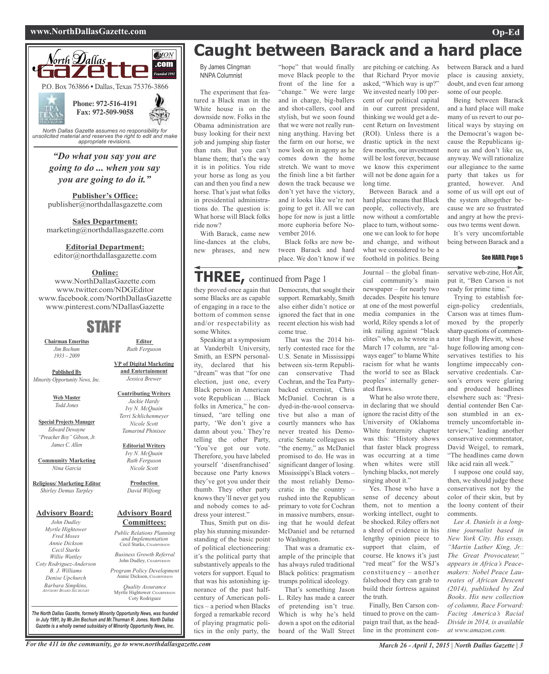### **www.NorthDallasGazette.com Op-Ed**



*unsolicited material and reserves the right to edit and make appropriate revisions.*

### *"Do what you say you are going to do ... when you say you are going to do it."*

**Publisher's Office:** publisher@northdallasgazette.com

**Sales Department:** marketing@northdallasgazette.com

### **Editorial Department:**

editor@northdallasgazette.com

### **Online:**

www.NorthDallasGazette.com www.twitter.com/NDGEditor www.facebook.com/NorthDallasGazette www.pinterest.com/NDallasGazette

### STAFF

**Chairman Emeritus** *Jim Bochum 1933 – 2009*

**Published By** *Minority Opportunity News, Inc.*

> **Web Master** *Todd Jones*

**Special Projects Manager** *Edward Dewayne "Preacher Boy" Gibson, Jr. James C. Allen*

**Community Marketing** *Nina Garcia*

**Religious/ Marketing Editor** *Shirley Demus Tarpley*

### **Advisory Board:**

*John Dudley Myrtle Hightower Fred Moses Annie Dickson Cecil Starks Willie Wattley Coty Rodriguez-Anderson B. J. Williams Denise Upchurch Barbara Simpkins, ADVISORY BOARD SECRETARY*

**and Entertainment** *Jessica Brewer* **Contributing Writers**

**Editor** *Ruth Ferguson*

**VP of Digital Marketing**

*Jackie Hardy Ivy N. McQuain Terri Schlichenmeyer Nicole Scott Tamarind Phinisee*

#### **Editorial Writers** *Ivy N. McQuain Ruth Ferguson Nicole Scott*

**Production** *David Wilfong*

### **Advisory Board Committees:**

*Public Relations Planning and Implementation* Cecil Starks, CHAIRPERSON

*Business Growth Referral* John Dudley, CHAIRPERSON

*Program Policy Development* Annie Dickson, Chairper

*Quality Assurance* Myrtle Hightower, CHAIRPERSON Coty Rodriguez

*The North Dallas Gazette, formerly Minority Opportunity News, was founded in July 1991, by Mr.Jim Bochum and Mr.Thurman R. Jones. North Dallas Gazette is a wholly owned subsidairy of Minority Opportunity News, Inc.*

## **Caught between Barack and a hard place**

"hope" that would finally move Black people to the front of the line for a "change." We were large and in charge, big-ballers and shot-callers, cool and stylish, but we soon found that we were not really running anything. Having bet the farm on our horse, we now look on in agony as he comes down the home stretch. We want to move the finish line a bit farther down the track because we don't yet have the victory, and it looks like we're not going to get it. All we can hope for now is just a little more euphoria before No-

By James Clingman NNPA Columnist

The experiment that featured a Black man in the White house is on the downside now. Folks in the Obama administration are busy looking for their next job and jumping ship faster than rats. But you can't blame them; that's the way it is in politics. You ride your horse as long as you can and then you find a new horse. That's just what folks in presidential administrations do. The question is: What horse will Black folks ride now?

With Barack, came new line-dances at the clubs, new phrases, and new

## **THREE,** continued from Page <sup>1</sup>

they proved once again that some Blacks are as capable of engaging in a race to the bottom of common sense and/or respectability as some Whites.

Speaking at a symposium at Vanderbilt University, Smith, an ESPN personality, declared that his "dream" was that "for one election, just one, every Black person in American vote Republican … Black folks in America," he continued, "are telling one party, 'We don't give a damn about you.' They're telling the other Party, 'You've got our vote. Therefore, you have labeled yourself 'disenfranchised' because one Party knows they've got you under their thumb. They other party knows they'll never get you and nobody comes to address your interest."

Thus, Smith put on display his stunning misunderstanding of the basic point of political electioneering: it's the political party that substantively appeals to the voters for support. Equal to that was his astonishing ignorance of the past halfcentury of American politics – a period when Blacks forged a remarkable record of playing pragmatic politics in the only party, the

place. We don't know if we Democrats, that sought their support. Remarkably, Smith also either didn't notice or ignored the fact that in one recent election his wish had come true.

Black folks are now between Barack and hard

vember 2016.

That was the 2014 bitterly contested race for the U.S. Senate in Mississippi between six-term Republican conservative Thad Cochran, and the Tea Partybacked extremist, Chris McDaniel. Cochran is a dyed-in-the-wool conservative but also a man of courtly manners who has never treated his Democratic Senate colleagues as "the enemy," as McDaniel promised to do. He was in significant danger of losing. Mississippi's Black voters – the most reliably Democratic in the country – rushed into the Republican primary to vote for Cochran in massive numbers, ensuring that he would defeat McDaniel and be returned to Washington.

That was a dramatic example of the principle that has always ruled traditional Black politics: pragmatism trumps political ideology.

That's something Jason L. Riley has made a career of pretending isn't true. Which is why he's held down a spot on the editorial board of the Wall Street are pitching or catching. As that Richard Pryor movie asked, "Which way is up?" We invested nearly 100 percent of our political capital in our current president, thinking we would get a decent Return on Investment (ROI). Unless there is a drastic uptick in the next few months, our investment will be lost forever, because we know this experiment will not be done again for a long time.

Between Barack and a hard place means that Black people, collectively, are now without a comfortable place to turn, without someone we can look to for hope and change, and without what we considered to be a foothold in politics. Being

Journal – the global financial community's main newspaper – for nearly two decades. Despite his tenure at one of the most powerful media companies in the world, Riley spends a lot of ink railing against "black elites" who, as he wrote in a March 17 column, are "always eager" to blame White racism for what he wants the world to see as Black peoples' internally generated flaws.

What he also wrote there, in declaring that we should ignore the racist ditty of the University of Oklahoma White fraternity chapter was this: "History shows that faster black progress was occurring at a time when whites were still lynching blacks, not merely singing about it."

Yes. Those who have a sense of decency about them, not to mention a working intellect, ought to be shocked. Riley offers not a shred of evidence in his lengthy opinion piece to support that claim, of course. He knows it's just "red meat" for the WSJ's constituency – another falsehood they can grab to build their fortress against the truth.

Finally, Ben Carson continued to prove on the campaign trail that, as the headline in the prominent conbetween Barack and a hard place is causing anxiety, doubt, and even fear among some of our people.

Being between Barack and a hard place will make many of us revert to our political ways by staying on the Democrat's wagon because the Republicans ignore us and don't like us, anyway. We will rationalize our allegiance to the same party that takes us for granted, however. And some of us will opt out of the system altogether because we are so frustrated and angry at how the previous two terms went down.

It's very uncomfortable being between Barack and a

#### See HARD, Page 5

servative web-zine, Hot Air, put it, "Ben Carson is not ready for prime time."

Trying to establish foreign-policy credentials, Carson was at times flummoxed by the properly sharp questions of commentator Hugh Hewitt, whose huge following among conservatives testifies to his longtime impeccably conservative credentials. Carson's errors were glaring and produced headlines elsewhere such as: "Presidential contender Ben Carson stumbled in an extremely uncomfortable interview," leading another conservative commentator, David Weigel, to remark, "The headlines came down like acid rain all week."

I suppose one could say, then, we should judge these conservatives not by the color of their skin, but by the loony content of their comments.

*Lee A. Daniels is a longtime journalist based in New York City. His essay, "Martin Luther King, Jr.: The Great Provocateur," appears in Africa's Peacemakers: Nobel Peace Laureates of African Descent (2014), published by Zed Books. His new collection of columns, Race Forward: Facing America's Racial Divide in 2014, is available at www.amazon.com.*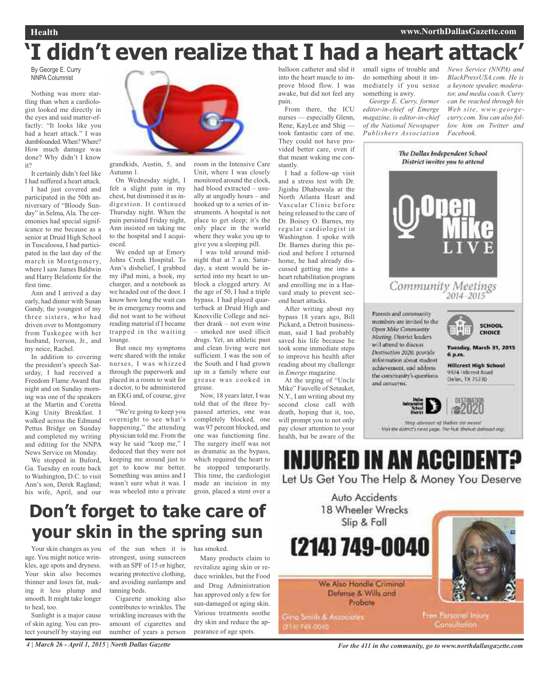### **Health www.NorthDallasGazette.com**

# **'I didn't even realize that I had a heart attack'**

By George E. Curry NNPA Columnist

Nothing was more startling than when a cardiologist looked me directly in the eyes and said matter-offactly: "It looks like you had a heart attack." I was dumbfounded. When? Where? How much damage was done? Why didn't I know it?

It certainly didn't feel like I had suffered a heart attack.

I had just covered and participated in the 50th anniversary of "Bloody Sunday" in Selma, Ala. The ceremonies had special significance to me because as a senior at Druid High School in Tuscaloosa, I had participated in the last day of the march in Montgomery, where I saw James Baldwin and Harry Belafonte for the first time.

Ann and I arrived a day early, had dinner with Susan Gandy, the youngest of my three sisters, who had driven over to Montgomery from Tuskegee with her husband, Iverson, Jr., and my neice, Rachel.

In addition to covering the president's speech Saturday, I had received a Freedom Flame Award that night and on Sunday morning was one of the speakers at the Martin and Coretta King Unity Breakfast. I walked across the Edmund Pettus Bridge on Sunday and completed my writing and editing for the NNPA News Service on Monday.

We stopped in Buford, Ga. Tuesday en route back to Washington, D.C. to visit Ann's son, Derek Ragland; his wife, April, and our



grandkids, Austin, 5, and Autumn 1.

On Wednesday night, I felt a slight pain in my chest, but dismissed it as indigestion. It continued Thursday night. When the pain persisted Friday night, Ann insisted on taking me to the hospital and I acquiesced.

We ended up at Emory Johns Creek Hospital. To Ann's disbelief, I grabbed my iPad mini, a book, my charger, and a notebook as we headed out of the door. I know how long the wait can be in emergency rooms and did not want to be without reading material if I became trapped in the waiting lounge.

But once my symptoms were shared with the intake nurses, I was whizzed through the paperwork and placed in a room to wait for a doctor, to be administered an EKG and, of course, give blood.

"We're going to keep you overnight to see what's happening," the attending physician told me. From the way he said "keep me," I deduced that they were not keeping me around just to get to know me better. Something was amiss and I wasn't sure what it was. I was wheeled into a private room in the Intensive Care Unit, where I was closely monitored around the clock, had blood extracted – usually at ungodly hours – and hooked up to a series of instruments. A hospital is not place to get sleep; it's the only place in the world where they wake you up to give you a sleeping pill.

I was told around midnight that at 7 a.m. Saturday, a stent would be inserted into my heart to unblock a clogged artery. At the age of 50, I had a triple bypass. I had played quarterback at Druid High and Knoxville College and neither drank – not even wine – smoked nor used illicit drugs. Yet, an athletic past and clean living were not sufficient. I was the son of the South and I had grown up in a family where our grease was cooked in grease.

Now, 18 years later, I was told that of the three bypassed arteries, one was completely blocked, one was 97 percent blocked, and one was functioning fine. The surgery itself was not as dramatic as the bypass, which required the heart to be stopped temporarily. This time, the cardiologist made an incision in my groin, placed a stent over a

revitalize aging skin or reduce wrinkles, but the Food and Drug Administration has approved only a few for sun-damaged or aging skin. Various treatments soothe dry skin and reduce the appearance of age spots.

balloon catheter and slid it into the heart muscle to improve blood flow. I was awake, but did not feel any pain.

From there, the ICU nurses — especially Glenn, Rene, KayLee and Shig took fantastic care of me. They could not have provided better care, even if that meant waking me constantly.

I had a follow-up visit and a stress test with Dr. Jigishu Dhabuwala at the North Atlanta Heart and Vascular Clinic before being released to the care of Dr. Boisey O. Barnes, my regular cardiologist in Washington. I spoke with Dr. Barnes during this period and before I returned home, he had already discussed getting me into a heart rehabilitation program and enrolling me in a Harvard study to prevent second heart attacks.

After writing about my bypass 18 years ago, Bill Pickard, a Detroit businessman, said I had probably saved his life because he took some immediate steps to improve his health after reading about my challenge in *Emerge* magazine.

At the urging of "Uncle Mike" Fauvelle of Setauket, N.Y., I am writing about my second close call with death, hoping that it, too, will prompt you to not only pay closer attention to your health, but be aware of the

small signs of trouble and do something about it immediately if you sense something is awry.

*George E. Curry, former editor-in-chief of Emerge magazine, is editor-in-chief of the National Newspaper Publishers Association*

*News Service (NNPA) and BlackPressUSA.com. He is a keynote speaker, moderator, and media coach. Curry can be reached through his Web site, www.georgecurry.com. You can also follow him on Twitter and Facebook.*



We Also Handle Criminal Defense & Wills and Probate

**Gina Smith & Associates** 2141749-0040

Free Paisonal Injury **Consultation** 

Your skin changes as you of the sun when it is has smoked. Many products claim to **Don't forget to take care of your skin in the spring sun**

age. You might notice wrinkles, age spots and dryness. Your skin also becomes thinner and loses fat, making it less plump and smooth. It might take longer to heal, too.

Sunlight is a major cause of skin aging. You can protect yourself by staying out

strongest, using sunscreen with an SPF of 15 or higher, wearing protective clothing, and avoiding sunlamps and tanning beds.

Cigarette smoking also contributes to wrinkles. The wrinkling increases with the amount of cigarettes and number of years a person

4 | March 26 - April 1, 2015 | North Dallas Gazette The State of Two For the 411 in the community, go to www.northdallasgazette.com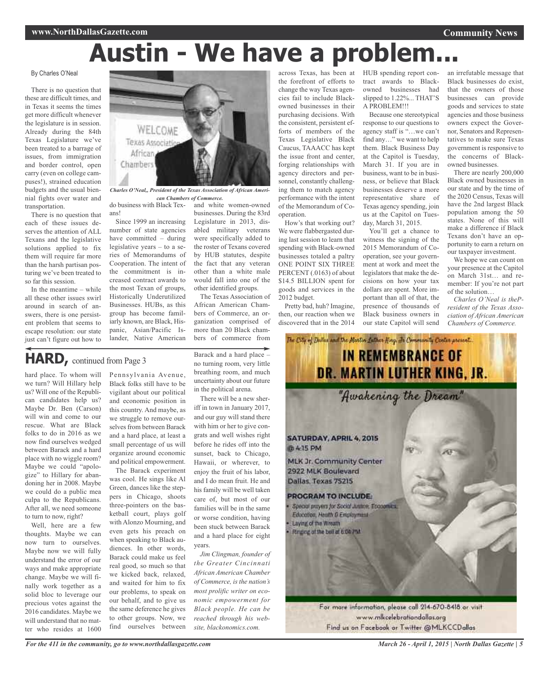# **Austin - We have a problem...**

### By Charles O'Neal

There is no question that these are difficult times, and in Texas it seems the times get more difficult whenever the legislature is in session. Already during the 84th Texas Legislature we've been treated to a barrage of issues, from immigration and border control, open carry (even on college campuses!), strained education budgets and the usual biennial fights over water and transportation.

There is no question that each of these issues deserves the attention of ALL Texans and the legislative solutions applied to fix them will require far more than the harsh partisan posturing we've been treated to so far this session.

In the meantime – while all these other issues swirl around in search of answers, there is one persistent problem that seems to escape resolution: our state just can't figure out how to



*Charles O'Neal,, President of the Texas Association of African American Chambers of Commerce.*

do business with Black Texans!

Since 1999 an increasing number of state agencies have committed – during legislative years – to a series of Memorandums of Cooperation. The intent of the commitment is increased contract awards to the most Texan of groups, Historically Underutilized Businesses. HUBs, as this group has become familiarly known, are Black, Hispanic, Asian/Pacific Islander, Native American

### **HARD,** continued from Page <sup>3</sup>

hard place. To whom will we turn? Will Hillary help us? Will one of the Republican candidates help us? Maybe Dr. Ben (Carson) will win and come to our rescue. What are Black folks to do in 2016 as we now find ourselves wedged between Barack and a hard place with no wiggle room? Maybe we could "apologize" to Hillary for abandoning her in 2008. Maybe we could do a public mea culpa to the Republicans. After all, we need someone to turn to now, right?

Well, here are a few thoughts. Maybe we can now turn to ourselves. Maybe now we will fully understand the error of our ways and make appropriate change. Maybe we will finally work together as a solid bloc to leverage our precious votes against the 2016 candidates. Maybe we will understand that no matter who resides at 1600 Pennsylvania Avenue, Black folks still have to be vigilant about our political and economic position in this country. And maybe, as we struggle to remove ourselves from between Barack and a hard place, at least a small percentage of us will organize around economic and political empowerment.

The Barack experiment was cool. He sings like Al Green, dances like the steppers in Chicago, shoots three-pointers on the basketball court, plays golf with Alonzo Mourning, and even gets his preach on when speaking to Black audiences. In other words, Barack could make us feel real good, so much so that we kicked back, relaxed, and waited for him to fix our problems, to speak on our behalf, and to give us the same deference he gives to other groups. Now, we find ourselves between

and white women-owned businesses. During the 83rd Legislature in 2013, disabled military veterans were specifically added to the roster of Texans covered by HUB statutes, despite the fact that any veteran other than a white male would fall into one of the other identified groups.

The Texas Association of African American Chambers of Commerce, an organization comprised of more than 20 Black chambers of commerce from

Barack and a hard place – no turning room, very little breathing room, and much uncertainty about our future in the political arena.

There will be a new sheriff in town in January 2017, and our guy will stand there with him or her to give congrats and well wishes right before he rides off into the sunset, back to Chicago, Hawaii, or wherever, to enjoy the fruit of his labor, and I do mean fruit. He and his family will be well taken care of, but most of our families will be in the same or worse condition, having been stuck between Barack and a hard place for eight years.

*Jim Clingman, founder of the Greater Cincinnati African American Chamber of Commerce, is the nation's most prolific writer on economic empowerment for Black people. He can be reached through his website, blackonomics.com.*

across Texas, has been at HUB spending report conthe forefront of efforts to change the way Texas agencies fail to include Blackowned businesses in their purchasing decisions. With the consistent, persistent efforts of members of the Texas Legislative Black Caucus, TAAACC has kept the issue front and center, forging relationships with agency directors and personnel, constantly challenging them to match agency performance with the intent of the Memorandum of Cooperation.

How's that working out? We were flabbergasted during last session to learn that spending with Black-owned businesses totaled a paltry ONE POINT SIX THREE PERCENT (.0163) of about \$14.5 BILLION spent for goods and services in the 2012 budget.

Pretty bad, huh? Imagine, then, our reaction when we discovered that in the 2014 tract awards to Blackowned businesses had slipped to 1.22%... THAT'S A PROBLEM!!!

Because one stereotypical response to our questions to agency staff is "…we can't find any…" we want to help them. Black Business Day at the Capitol is Tuesday, March 31. If you are in business, want to be in business, or believe that Black businesses deserve a more representative share of Texas agency spending, join us at the Capitol on Tuesday, March 31, 2015.

You'll get a chance to witness the signing of the 2015 Memorandum of Cooperation, see your government at work and meet the legislators that make the decisions on how your tax dollars are spent. More important than all of that, the presence of thousands of Black business owners in our state Capitol will send an irrefutable message that Black businesses do exist, that the owners of those businesses can provide goods and services to state agencies and those business owners expect the Governor, Senators and Representatives to make sure Texas government is responsive to the concerns of Blackowned businesses.

There are nearly 200,000 Black owned businesses in our state and by the time of the 2020 Census, Texas will have the 2nd largest Black population among the 50 states. None of this will make a difference if Black Texans don't have an opportunity to earn a return on our taxpayer investment.

We hope we can count on your presence at the Capitol on March 31st… and remember: If you're not part of the solution…

*Charles O'Neal is thePresident of the Texas Association of African American Chambers of Commerce.*



www.mlkcelebrationdallas.org Find us on Facebook or Twitter @MLKCCDallas

*For the 411 in the community, go to www.northdallasgazette.com*

*March 26 - April 1, 2015 | North Dallas Gazette | 5*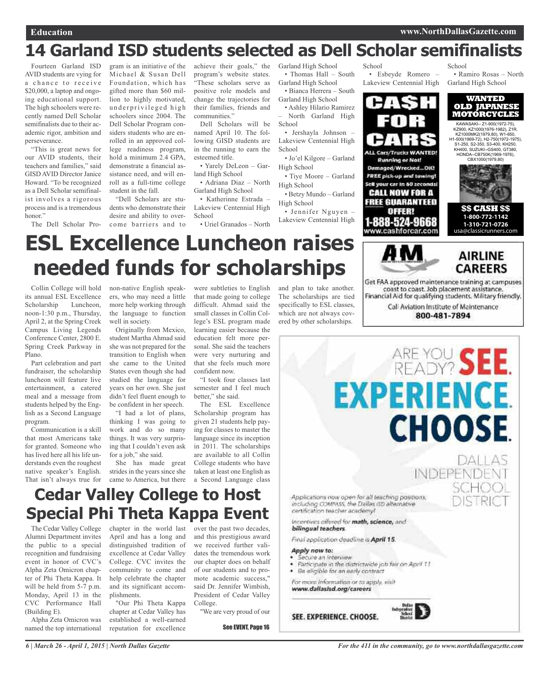## **14 Garland ISD students selected as Dell Scholar semifinalists**

Fourteen Garland ISD AVID students are vying for a chance to receive \$20,000, a laptop and ongoing educational support. The high schoolers were recently named Dell Scholar semifinalists due to their academic rigor, ambition and perseverance.

"This is great news for our AVID students, their teachers and families," said GISD AVID Director Janice Howard. "To be recognized as a Dell Scholar semifinalist involves a rigorous process and is a tremendous honor."

The Dell Scholar Pro-

gram is an initiative of the Michael & Susan Dell Foundation, which has gifted more than \$60 million to highly motivated, underprivileged high schoolers since 2004. The Dell Scholar Program considers students who are enrolled in an approved college readiness program, hold a minimum 2.4 GPA, demonstrate a financial assistance need, and will enroll as a full-time college student in the fall.

"Dell Scholars are students who demonstrate their desire and ability to overcome barriers and to

achieve their goals," the program's website states. "These scholars serve as positive role models and change the trajectories for their families, friends and communities."

Dell Scholars will be named April 10. The following GISD students are in the running to earn the esteemed title.

• Yarely DeLeon – Garland High School • Adriana Diaz – North

Garland High School • Katherinne Estrada –

Lakeview Centennial High School • Uriel Granados – North Garland High School

• Thomas Hall – South Garland High School • Bianca Herrera – South

Garland High School • Ashley Hilario Ramirez – North Garland High School

• Jershayla Johnson – Lakeview Centennial High School

• Jo'el Kilgore – Garland High School

• Tiye Moore – Garland High School

• Betzy Mundo – Garland High School • Jennifer Nguyen –

Lakeview Centennial High

School

• Esbeyde Romero – Lakeview Centennial High



School

• Ramiro Rosas – North Garland High School





**\$\$ CASH \$\$ 1-800-772-1142 1-310-721-0726**  usa@classicrunners.com

# **ESL Excellence Luncheon raises needed funds for scholarships**

chapter in the world last over the past two decades,

College.

Collin College will hold its annual ESL Excellence Scholarship Luncheon, noon-1:30 p.m., Thursday, April 2, at the Spring Creek Campus Living Legends Conference Center, 2800 E. Spring Creek Parkway in Plano.

Part celebration and part fundraiser, the scholarship luncheon will feature live entertainment, a catered meal and a message from students helped by the English as a Second Language program.

Communication is a skill that most Americans take for granted. Someone who has lived here all his life understands even the roughest native speaker's English. That isn't always true for

The Cedar Valley College Alumni Department invites the public to a special recognition and fundraising event in honor of CVC's Alpha Zeta Omicron chapter of Phi Theta Kappa. It will be held from 5-7 p.m. Monday, April 13 in the CVC Performance Hall

Alpha Zeta Omicron was named the top international

(Building E).

non-native English speakers, who may need a little more help working through the language to function well in society.

Originally from Mexico, student Martha Ahmad said she was not prepared for the transition to English when she came to the United States even though she had studied the language for years on her own. She just didn't feel fluent enough to be confident in her speech.

"I had a lot of plans, thinking I was going to work and do so many things. It was very surprising that I couldn't even ask for a job," she said.

She has made great strides in the years since she came to America, but there

**Cedar Valley College to Host**

**Special Phi Theta Kappa Event**

April and has a long and distinguished tradition of excellence at Cedar Valley College. CVC invites the community to come and help celebrate the chapter and its significant accom-

"Our Phi Theta Kappa chapter at Cedar Valley has established a well-earned reputation for excellence

were subtleties to English that made going to college difficult. Ahmad said the small classes in Collin College's ESL program made learning easier because the education felt more personal. She said the teachers were very nurturing and that she feels much more confident now.

"I took four classes last semester and I feel much better," she said.

The ESL Excellence Scholarship program has given 21 students help paying for classes to master the language since its inception in 2011. The scholarships are available to all Collin College students who have taken at least one English as a Second Language class

and this prestigious award we received further validates the tremendous work our chapter does on behalf of our students and to promote academic success," said Dr. Jennifer Wimbish, President of Cedar Valley

"We are very proud of our

See EVENT, Page 16

and plan to take another. The scholarships are tied specifically to ESL classes, which are not always covered by other scholarships.



Get FAA approved maintenance training at campuses coast to coast. Job placement assistance. Financial Aid for qualifying students. Military friendly,

> Call Aviation Institute of Maintenance 800-481-7894



plishments.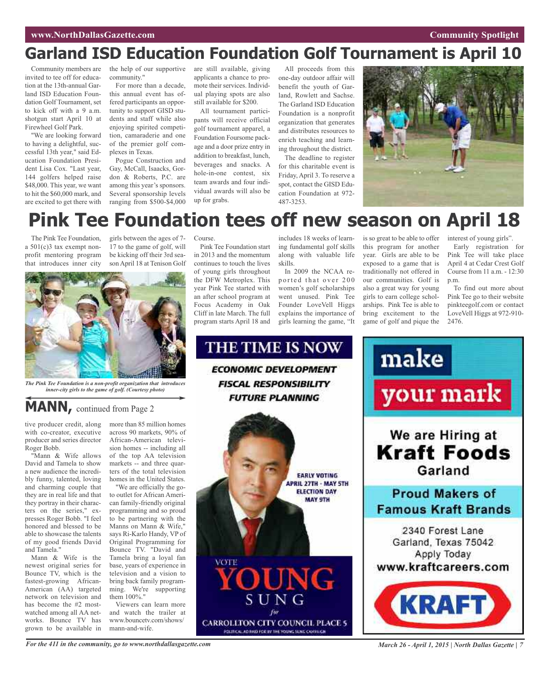## **Garland ISD Education Foundation Golf Tournament is April 10**

invited to tee off for education at the 13th-annual Garland ISD Education Foundation Golf Tournament, set to kick off with a 9 a.m. shotgun start April 10 at Firewheel Golf Park.

"We are looking forward to having a delightful, successful 13th year," said Education Foundation President Lisa Cox. "Last year, 144 golfers helped raise \$48,000. This year, we want to hit the \$60,000 mark, and are excited to get there with

Community members are the help of our supportive are still available, giving community."

> For more than a decade, this annual event has offered participants an opportunity to support GISD students and staff while also enjoying spirited competition, camaraderie and one of the premier golf complexes in Texas.

> Pogue Construction and Gay, McCall, Isaacks, Gordon & Roberts, P.C. are among this year's sponsors. Several sponsorship levels ranging from \$500-\$4,000

applicants a chance to promote their services. Individual playing spots are also still available for \$200.

All tournament participants will receive official golf tournament apparel, a Foundation Foursome package and a door prize entry in addition to breakfast, lunch, beverages and snacks. A hole-in-one contest, six team awards and four individual awards will also be up for grabs.

All proceeds from this one-day outdoor affair will benefit the youth of Garland, Rowlett and Sachse. The Garland ISD Education Foundation is a nonprofit organization that generates and distributes resources to enrich teaching and learning throughout the district.

The deadline to register for this charitable event is Friday, April 3. To reserve a spot, contact the GISD Education Foundation at 972- 487-3253.



## **Pink Tee Foundation tees off new season on April 18**

The Pink Tee Foundation, a 501(c)3 tax exempt nonprofit mentoring program that introduces inner city

girls between the ages of 7- 17 to the game of golf, will be kicking off their 3rd season April 18 at Tenison Golf



*The Pink Tee Foundation is a non-profit organization that introduces inner-city girls to the game of golf. (Courtesy photo)*

### **MANN,** continued from Page <sup>2</sup>

tive producer credit, along with co-creator, executive producer and series director Roger Bobb.

"Mann & Wife allows David and Tamela to show a new audience the incredibly funny, talented, loving and charming couple that they are in real life and that they portray in their characters on the series," expresses Roger Bobb. "I feel honored and blessed to be able to showcase the talents of my good friends David and Tamela."

Mann & Wife is the newest original series for Bounce TV, which is the fastest-growing African-American (AA) targeted network on television and has become the #2 mostwatched among all AA networks. Bounce TV has grown to be available in more than 85 million homes across 90 markets, 90% of African-American television homes -- including all of the top AA television markets -- and three quarters of the total television homes in the United States.

"We are officially the goto outlet for African American family-friendly original programming and so proud to be partnering with the Manns on Mann & Wife," says Ri-Karlo Handy, VP of Original Programming for Bounce TV. "David and Tamela bring a loyal fan base, years of experience in television and a vision to bring back family programming. We're supporting them 100%."

Viewers can learn more and watch the trailer at www.bouncetv.com/shows/ mann-and-wife.

Course.

Pink Tee Foundation start in 2013 and the momentum continues to touch the lives of young girls throughout the DFW Metroplex. This year Pink Tee started with an after school program at Focus Academy in Oak Cliff in late March. The full program starts April 18 and

includes 18 weeks of learning fundamental golf skills along with valuable life skills.

In 2009 the NCAA reported that over 200 women's golf scholarships went unused. Pink Tee Founder LoveVell Higgs explains the importance of girls learning the game, "It

is so great to be able to offer this program for another year. Girls are able to be exposed to a game that is traditionally not offered in our communities. Golf is also a great way for young girls to earn college scholarships. Pink Tee is able to bring excitement to the game of golf and pique the

interest of young girls".

Early registration for Pink Tee will take place April 4 at Cedar Crest Golf Course from 11 a.m. - 12:30 p.m.

To find out more about Pink Tee go to their website pinkteegolf.com or contact LoveVell Higgs at 972-910- 2476.



For the 411 in the community, go to www.northdallasgazette.com March 26 - April 1, 2015 | North Dallas Gazette | 7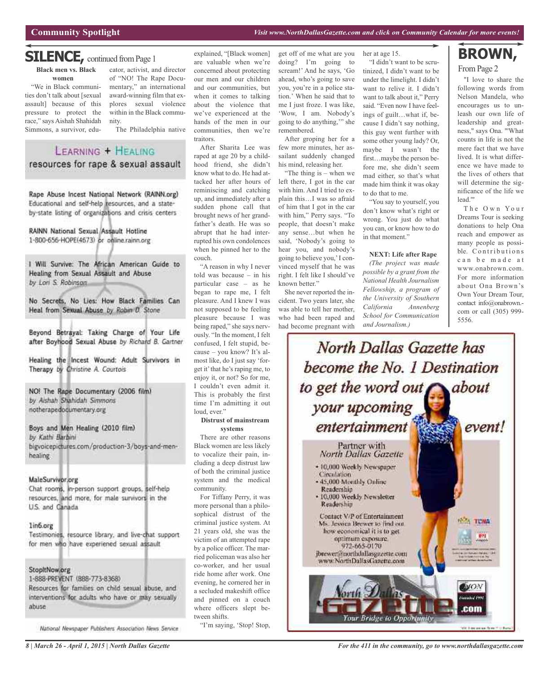### **SILENCE**, continued from Page 1

#### **Black men vs. Black women**

"We in Black communities don't talk about [sexual assault] because of this pressure to protect the race," says Aishah Shahidah Simmons, a survivor, educator, activist, and director of "NO! The Rape Documentary," an international award-winning film that explores sexual violence within in the Black community.

The Philadelphia native

### LEARNING + HEALING resources for rape & sexual assault

Rape Abuse Incest National Network (RAINN.org) Educational and self-help resources, and a stateby-state listing of organizations and crisis centers

### RAINN National Sexual Assault Hotline 1-800-656-HOPE(4673) or online.rainn.org

I Will Survive: The African American Guide to Healing from Sexual Assault and Abuse by Lori S. Robinson

No Secrets, No Lies: How Black Families Can Heal from Sexual Abuse by Robin D. Stone

Beyond Betrayal: Taking Charge of Your Life after Boyhood Sexual Abuse by Richard B. Gartner

Healing the Incest Wound: Adult Survivors in Therapy by Christine A. Courtois

NO! The Rape Documentary (2006 film) by Aishah Shahidah Simmons notherapedocumentary.org

### Boys and Men Healing (2010 film)

by Kathi Barbini bigvoicepictures.com/production-3/boys-and-menhealing.

### MaleSurvivor.org

Chat rooms, in-person support groups, self-help resources, and more, for male survivors in the U.S. and Canada

### 1in6.org

Testimonies, resource library, and live-chat supportfor men who have experiened sexual assault

### StopItNow org

1-888-PREVENT (B88-773-8368) Resources for families on child sexual abuse, and interventions for adults who have or may sexually abuse.

National Newspaper Publishers Association News Service

explained, "[Black women] are valuable when we're concerned about protecting our men and our children and our communities, but when it comes to talking about the violence that we've experienced at the hands of the men in our communities, then we're traitors.

After Sharita Lee was raped at age 20 by a childhood friend, she didn't know what to do. He had attacked her after hours of reminiscing and catching up, and immediately after a sudden phone call that brought news of her grandfather's death. He was so abrupt that he had interrupted his own condolences when he pinned her to the couch.

"A reason in why I never told was because – in his particular case – as he began to rape me, I felt pleasure. And I knew I was not supposed to be feeling pleasure because I was being raped," she says nervously. "In the moment, I felt confused, I felt stupid, because – you know? It's almost like, do I just say 'forget it'that he's raping me, to enjoy it, or not? So for me, I couldn't even admit it. This is probably the first time I'm admitting it out loud, ever."

#### **Distrust of mainstream systems**

There are other reasons Black women are less likely to vocalize their pain, including a deep distrust law of both the criminal justice system and the medical community.

For Tiffany Perry, it was more personal than a philosophical distrust of the criminal justice system. At 21 years old, she was the victim of an attempted rape by a police officer. The married policeman was also her co-worker, and her usual ride home after work. One evening, he cornered her in a secluded makeshift office and pinned on a couch where officers slept between shifts.

"I'm saying, 'Stop! Stop,

get off of me what are you doing? I'm going to scream!' And he says, 'Go ahead, who's going to save you, you're in a police station.' When he said that to me I just froze. I was like, 'Wow, I am. Nobody's going to do anything,'" she remembered.

After groping her for a few more minutes, her assailant suddenly changed his mind, releasing her.

"The thing is – when we left there, I got in the car with him. And I tried to explain this…I was so afraid of him that I got in the car with him," Perry says. "To people, that doesn't make any sense…but when he said, 'Nobody's going to hear you, and nobody's going to believe you,'I convinced myself that he was right. I felt like I should've known better."

She never reported the incident. Two years later, she was able to tell her mother, who had been raped and had become pregnant with

her at age 15.

"I didn't want to be scrutinized, I didn't want to be under the limelight. I didn't want to relive it. I didn't want to talk about it," Perry said. "Even now I have feelings of guilt…what if, because I didn't say nothing, this guy went further with some other young lady? Or, maybe I wasn't the first…maybe the person before me, she didn't seem mad either, so that's what made him think it was okay to do that to me.

"You say to yourself, you don't know what's right or wrong. You just do what you can, or know how to do in that moment."

**NEXT: Life after Rape** *(The project was made possible by a grant from the National Health Journalism Fellowship, a program of the University of Southern California Annenberg School for Communication and Journalism.)*

### **BROWN,**

### From Page 2

"I love to share the following words from Nelson Mandela, who encourages us to unleash our own life of leadership and greatness," says Ona. "'What counts in life is not the mere fact that we have lived. It is what difference we have made to the lives of others that will determine the significance of the life we lead.'"

The Own Your Dreams Tour is seeking donations to help Ona reach and empower as many people as possible. Contributions can be made at www.onabrown.com. For more information about Ona Brown's Own Your Dream Tour, contact info@onabrown.com or call (305) 999- 5556.

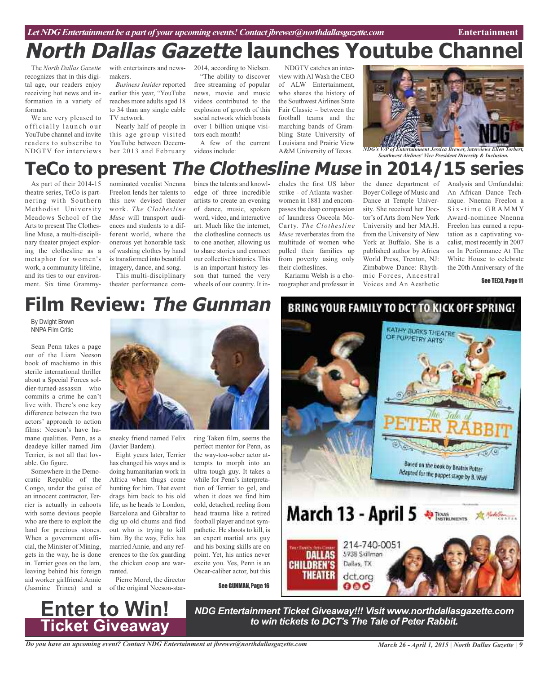### *Let NDG Entertainment be a part of your upcoming events!Contact jbrewer@northdallasgazette.com* **Entertainment**

# **North Dallas Gazette launches Youtube Channel**

The *North Dallas Gazette* recognizes that in this digital age, our readers enjoy receiving hot news and information in a variety of formats.

We are very pleased to officially launch our YouTube channel and invite readers to subscribe to NDGTV for interviews

with entertainers and newsmakers.

*Business Insider* reported earlier this year, "YouTube reaches more adults aged 18 to 34 than any single cable TV network.

Nearly half of people in this age group visited YouTube between December 2013 and February

2014, according to Nielsen. "The ability to discover free streaming of popular

news, movie and music videos contributed to the explosion of growth of this social network which boasts over 1 billion unique visitors each month!

A few of the current videos include:

NDGTV catches an interview with Al Wash the CEO of ALW Entertainment, who shares the history of the Southwest Airlines State Fair Classic – between the football teams and the marching bands of Grambling State University of Louisiana and Prairie View



A&M University of Texas. *NDG's V/P of Entertainment Jessica Brewer, interviews Ellen Torbert, Southwest Airlines' Vice President Diversity & Inclusion.*

## **TeCo to present The Clothesline Muse in 2014/15 series**

As part of their 2014-15 theatre series, TeCo is partnering with Southern Methodist University Meadows School of the Arts to present The Clothesline Muse, a multi-disciplinary theater project exploring the clothesline as a metaphor for women's work, a community lifeline, and its ties to our environment. Six time Grammy-

nominated vocalist Nnenna Freelon lends her talents to this new devised theater work. *The Clothesline Muse* will transport audiences and students to a different world, where the onerous yet honorable task of washing clothes by hand is transformed into beautiful imagery, dance, and song.

This multi-disciplinary theater performance com-

bines the talents and knowledge of three incredible artists to create an evening of dance, music, spoken word, video, and interactive art. Much like the internet, the clothesline connects us to one another, allowing us to share stories and connect our collective histories. This is an important history lesson that turned the very wheels of our country. It in-

cludes the first US labor strike - of Atlanta washerwomen in 1881 and encompasses the deep compassion of laundress Osceola Mc-Carty. *The Clothesline Muse* reverberates from the multitude of women who pulled their families up from poverty using only their clotheslines.

Kariamu Welsh is a choreographer and professor in the dance department of Boyer College of Music and Dance at Temple University. She received her Doctor's of Arts from New York University and her MA.H. from the University of New York at Buffalo. She is a published author by Africa World Press, Trenton, NJ: Zimbabwe Dance: Rhythmic Forces, Ancestral Voices and An Aesthetic

BRING YOUR FAMILY TO DCT TO KICK OFF SPRING!

**KATHY BURKS THEATRE** OF PUPPETRY ARTS

Analysis and Umfundalai: An African Dance Technique. Nnenna Freelon a Six-time GRAMMY Award-nominee Nnenna Freelon has earned a reputation as a captivating vocalist, most recently in 2007 on In Performance At The White House to celebrate the 20th Anniversary of the

### See TECO, Page 11

## **Film Review: The Gunman**

By Dwight Brown NNPA Film Critic

Sean Penn takes a page out of the Liam Neeson book of machismo in this sterile international thriller about a Special Forces soldier-turned-assassin who commits a crime he can't live with. There's one key difference between the two actors' approach to action films: Neeson's have humane qualities. Penn, as a deadeye killer named Jim Terrier, is not all that lovable. Go figure.

Somewhere in the Democratic Republic of the Congo, under the guise of an innocent contractor, Terrier is actually in cahoots with some devious people who are there to exploit the land for precious stones. When a government official, the Minister of Mining, gets in the way, he is done in. Terrier goes on the lam, leaving behind his foreign aid worker girlfriend Annie (Jasmine Trinca) and a



sneaky friend named Felix (Javier Bardem).

Eight years later, Terrier has changed his ways and is doing humanitarian work in Africa when thugs come hunting for him. That event drags him back to his old life, as he heads to London, Barcelona and Gibraltar to dig up old chums and find out who is trying to kill him. By the way, Felix has married Annie, and any references to the fox guarding the chicken coop are warranted.

Pierre Morel, the director of the original Neeson-starring Taken film, seems the perfect mentor for Penn, as the way-too-sober actor attempts to morph into an ultra tough guy. It takes a while for Penn's interpretation of Terrier to gel, and when it does we find him cold, detached, reeling from head trauma like a retired football player and not sympathetic. He shoots to kill, is an expert martial arts guy and his boxing skills are on point. Yet, his antics never excite you. Yes, Penn is an Oscar-caliber actor, but this

See GUNMAN, Page 16

Adapted for the puppet stage by 8. Work 214-740-0051 593B Skillman DALLAS Dallas, TX **CHILDREN'S** THEATER dct.org 660

*NDG Entertainment Ticket Giveaway!!! Visit www.northdallasgazette.com* **to** *Win!* NDG Entertainment Ticket Giveaway!!! Visit www.northdallas<br>Ticket Giveaway

*Do you have an upcoming event? Contact NDG Entertainment at jbrewer@northdallasgazette.com*

*March 26 - April 1, 2015 | North Dallas Gazette | 9*

Based on the book by Beatrix Potter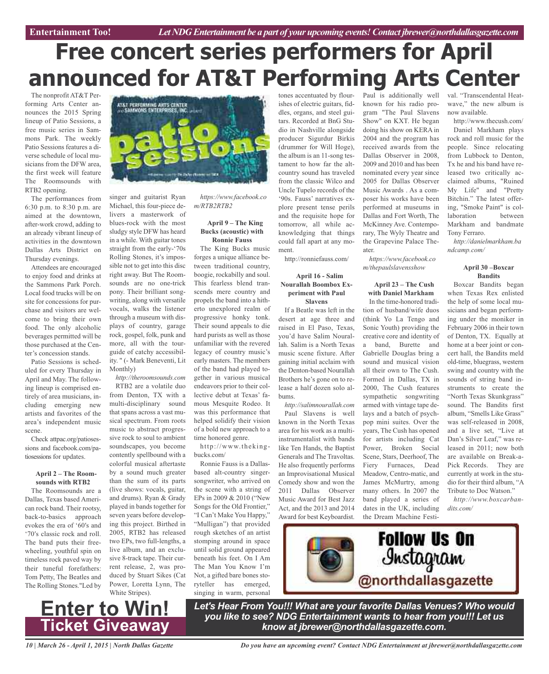# **Free concert series performers for April announced for AT&T Performing Arts Center**

The nonprofit AT&T Performing Arts Center announces the 2015 Spring lineup of Patio Sessions, a free music series in Sammons Park. The weekly Patio Sessions features a diverse schedule of local musicians from the DFW area, the first week will feature The Roomsounds with RTB2 opening.

The performances from 6:30 p.m. to 8:30 p.m. are aimed at the downtown, after-work crowd, adding to an already vibrant lineup of activities in the downtown Dallas Arts District on Thursday evenings.

Attendees are encouraged to enjoy food and drinks at the Sammons Park Porch. Local food trucks will be on site for concessions for purchase and visitors are welcome to bring their own food. The only alcoholic beverages permitted will be those purchased at the Center's concession stands.

Patio Sessions is scheduled for every Thursday in April and May. The following lineup is comprised entirely of area musicians, including emerging new artists and favorites of the area's independent music scene.

Check attpac.org/patiosessions and facebook.com/patiosessions for updates.

### **April 2 – The Roomsounds with RTB2**

The Roomsounds are a Dallas, Texas based American rock band. Their rootsy, back-to-basics approach evokes the era of '60′s and '70′s classic rock and roll. The band puts their freewheeling, youthful spin on timeless rock paved way by their tuneful forefathers: Tom Petty, The Beatles and The Rolling Stones."Led by



singer and guitarist Ryan Michael, this four-piece delivers a masterwork of blues-rock with the most sludgy style DFW has heard in a while. With guitar tones straight from the early-'70s Rolling Stones, it's impossible not to get into this disc right away. But The Roomsounds are no one-trick pony. Their brilliant songwriting, along with versatile vocals, walks the listener through a museum with displays of country, garage rock, gospel, folk, punk and more, all with the tourguide of catchy accessibility. " (- Mark Beneventi, Lit Monthly) *http://theroomsounds.com*

RTB2 are a volatile duo from Denton, TX with a multi-disciplinary sound that spans across a vast musical spectrum. From roots music to abstract progressive rock to soul to ambient soundscapes, you become contently spellbound with a colorful musical aftertaste by a sound much greater than the sum of its parts (live shows: vocals, guitar, and drums). Ryan & Grady played in bands together for seven years before developing this project. Birthed in 2005, RTB2 has released two EPs, two full-lengths, a live album, and an exclusive 8-track tape. Their current release, 2, was produced by Stuart Sikes (Cat Power, Loretta Lynn, The White Stripes).

*https://www.facebook.co m/RTB2RTB2*

### **April 9 – The King Bucks (acoustic) with Ronnie Fauss**

The King Bucks music forges a unique alliance between traditional country, boogie, rockabilly and soul. This fearless blend transcends mere country and propels the band into a hitherto unexplored realm of progressive honky tonk. Their sound appeals to die hard purists as well as those unfamiliar with the revered legacy of country music's early masters. The members of the band had played together in various musical endeavors prior to their collective debut at Texas' famous Mesquite Rodeo. It was this performance that helped solidify their vision of a bold new approach to a time honored genre.

http://www.thekingbucks.com/

Ronnie Fauss is a Dallasbased alt-country singersongwriter, who arrived on the scene with a string of EPs in 2009 & 2010 ("New Songs for the Old Frontier," "I Can't Make You Happy," "Mulligan") that provided rough sketches of an artist stomping around in space until solid ground appeared beneath his feet. On I Am The Man You Know I'm Not, a gifted bare bones storyteller has emerged, singing in warm, personal

tones accentuated by flourishes of electric guitars, fiddles, organs, and steel guitars. Recorded at BnG Studio in Nashville alongside producer Sigurdur Birkis (drummer for Will Hoge), the album is an 11-song testament to how far the altcountry sound has traveled from the classic Wilco and Uncle Tupelo records of the '90s. Fauss' narratives explore present tense perils and the requisite hope for tomorrow, all while acknowledging that things could fall apart at any moment.

http://ronniefauss.com/

### **April 16 - Salim Nourallah Boombox Experiment with Paul Slavens**

If a Beatle was left in the desert at age three and raised in El Paso, Texas, you'd have Salim Nourallah. Salim is a North Texas music scene fixture. After gaining initial acclaim with the Denton-based Nourallah Brothers he's gone on to release a half dozen solo albums. *http://salimnourallah.com*

Paul Slavens is well known in the North Texas area for his work as a multiinstrumentalist with bands like Ten Hands, the Baptist Generals and The Travoltas. He also frequently performs an Improvisational Musical Comedy show and won the 2011 Dallas Observer Music Award for Best Jazz Act, and the 2013 and 2014 Award for best Keyboardist.

Paul is additionally well known for his radio program "The Paul Slavens Show" on KXT. He began doing his show on KERA in 2004 and the program has received awards from the Dallas Observer in 2008, 2009 and 2010 and has been nominated every year since 2005 for Dallas Observer Music Awards . As a composer his works have been performed at museums in Dallas and Fort Worth, The McKinney Ave. Contemporary, The Wyly Theatre and the Grapevine Palace Theater.

*https://www.facebook.co m/thepaulslavensshow*

### **April 23 – The Cush with Daniel Markham**

In the time-honored tradition of husband/wife duos (think Yo La Tengo and Sonic Youth) providing the creative core and identity of a band, Burette and Gabrielle Douglas bring a sound and musical vision all their own to The Cush. Formed in Dallas, TX in 2000, The Cush features sympathetic songwriting armed with vintage tape delays and a batch of psychpop mini suites. Over the years, The Cush has opened for artists including Cat Power, Broken Social Scene, Stars, Deerhoof, The Fiery Furnaces, Dead Meadow, Centro-matic, and James McMurtry, among many others. In 2007 the band played a series of dates in the UK, including the Dream Machine Festi-

val. "Transcendental Heatwave," the new album is now available.

http://www.thecush.com/ Daniel Markham plays rock and roll music for the people. Since relocating from Lubbock to Denton, Tx he and his band have released two critically acclaimed albums, "Ruined My Life" and "Pretty Bitchin." The latest offering, "Smoke Paint" is collaboration between Markham and bandmate Tony Ferraro.

*http://danielmarkham.ba ndcamp.com/*

### **April 30 –Boxcar Bandits**

Boxcar Bandits began when Texas Rex enlisted the help of some local musicians and began performing under the moniker in February 2006 in their town of Denton, TX. Equally at home at a beer joint or concert hall, the Bandits meld old-time, bluegrass, western swing and country with the sounds of string band instruments to create the "North Texas Skunkgrass" sound. The Bandits first album, "Smells Like Grass" was self-released in 2008, and a live set, "Live at Dan's Silver Leaf," was released in 2011; now both are available on Break-a-Pick Records. They are currently at work in the studio for their third album, "A Tribute to Doc Watson."

*http://www.boxcarbandits.com/*





*Let's Hear From You!!! What are your favorite Dallas Venues? Who would you like to see? NDG Entertainment wants to hear from you!!! Let us know at jbrewer@northdallasgazette.com.*

*Do you have an upcoming event? Contact NDG Entertainment at jbrewer@northdallasgazette.com*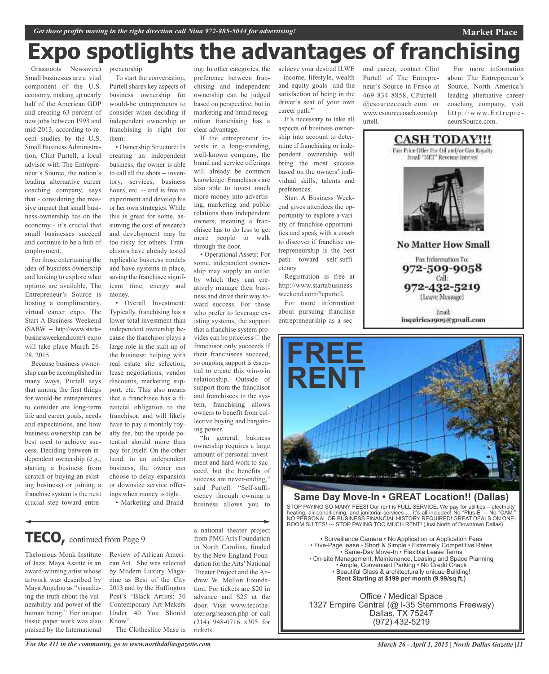# **Expo** spotlights the advantages of franchising

Grassroots Newswire) Small businesses are a vital component of the U.S. economy, making up nearly half of the American GDP and creating 63 percent of new jobs between 1993 and mid-2013, according to recent studies by the U.S. Small Business Administration. Clint Purtell, a local advisor with The Entrepreneur's Source, the nation's leading alternative career coaching company, says that - considering the massive impact that small business ownership has on the economy - it's crucial that small businesses succeed and continue to be a hub of employment.

For those entertaining the idea of business ownership and looking to explore what options are available, The Entrepreneur's Source is hosting a complimentary, virtual career expo. The Start A Business Weekend (SABW -- http://www.startabusinessweekend.com/) expo will take place March 26- 28, 2015.

Because business ownership can be accomplished in many ways, Purtell says that among the first things for would-be entrepreneurs to consider are long-term life and career goals, needs and expectations, and how business ownership can be best used to achieve success. Deciding between independent ownership (e.g., starting a business from scratch or buying an existing business) or joining a franchise system is the next crucial step toward entrepreneurship.

To start the conversation, Purtell shares key aspects of business ownership for would-be entrepreneurs to consider when deciding if independent ownership or franchising is right for them:

• Ownership Structure: In creating an independent business, the owner is able to call all the shots -- inventory, services, business hours, etc. -- and is free to experiment and develop his or her own strategies. While this is great for some, assuming the cost of research and development may be too risky for others. Franchisors have already tested replicable business models and have systems in place, saving the franchisee significant time, energy and money.

• Overall Investment: Typically, franchising has a lower total investment than independent ownership because the franchisor plays a large role in the start-up of the business: helping with real estate site selection, lease negotiations, vendor discounts, marketing support, etc. This also means that a franchisee has a financial obligation to the franchisor, and will likely have to pay a monthly royalty fee, but the upside potential should more than pay for itself. On the other hand, in an independent business, the owner can choose to delay expansion or downsize service offerings when money is tight.

• Marketing and Brand-

ing: In other categories, the preference between franchising and independent ownership can be judged based on perspective, but in marketing and brand recognition franchising has a clear advantage.

If the entrepreneur invests in a long-standing, well-known company, the brand and service offerings will already be common knowledge. Franchisors are also able to invest much more money into advertising, marketing and public relations than independent owners, meaning a franchisee has to do less to get more people to walk through the door.

• Operational Assets: For some, independent ownership may supply an outlet by which they can creatively manage their business and drive their way toward success. For those who prefer to leverage existing systems, the support that a franchise system provides can be priceless  $\Box$  the franchisor only succeeds if their franchisees succeed, so ongoing support is essential to create this win-win relationship. Outside of support from the franchisor and franchisees in the system, franchising allows owners to benefit from collective buying and bargaining power.

"In general, business ownership requires a large amount of personal investment and hard work to succeed, but the benefits of success are never-ending," said Purtell. "Self-sufficiency through owning a business allows you to

### **TECO,** continued from Page <sup>9</sup>

Thelonious Monk Institute of Jazz. Maya Asante is an award-winning artist whose artwork was described by Maya Angelou as "visualizing the truth about the vulnerability and power of the human being." Her unique tissue paper work was also praised by the International

Review of African American Art. She was selected by Modern Luxury Magazine as Best of the City 2013 and by the Huffington Post's "Black Artists: 30 Contemporary Art Makers Under 40 You Should Know". The Clothesline Muse is

a national theater project from PMG Arts Foundation in North Carolina, funded by the New England Foundation for the Arts' National Theater Project and the Andrew W. Mellon Foundation. For tickets are \$20 in advance and \$25 at the door. Visit www.tecotheater.org/season.php or call (214) 948-0716 x305 for tickets

achieve your desired ILWE - income, lifestyle, wealth and equity goals and the satisfaction of being in the driver's seat of your own career path."

It's necessary to take all aspects of business ownership into account to determine if franchising or independent ownership will bring the most success based on the owners' individual skills, talents and preferences.

Start A Business Weekend gives attendees the opportunity to explore a variety of franchise opportunities and speak with a coach to discover if franchise entrepreneurship is the best path toward self-sufficiency.

Registration is free at http://www.startabusinessweekend.com/?cpurtell.

For more information about pursuing franchise entrepreneurship as a second career, contact Clint Purtell of The Entrepreneur's Source in Frisco at 469-834-8858, CPurtell- @esourcecoach.com or www.esourcecoach.com/cp urtell.

For more information about The Entrepreneur's Source, North America's leading alternative career coaching company, visit  $http://www.Entrepre$ neursSource.com.

**Market Place**



**No Matter How Small** 

Fax Information To: 972-509-9058 Call: 972-432-5219

(Leave Message)

Friail: inquiries1909@gmail.com



### **Same Day Move-In • GREAT Location!! (Dallas)**

STOP PAYING SO MANY FEES! Our rent is FULL SERVICE. We pay for utilities – electricity, heating, air conditioning, and janitorial services … it's all included! No "Plus-E" – No "CAM." NO PERSONAL OR BUSINESS FINANCIAL HISTORY REQUIRED! GREAT DEALS ON ONE-ROOM SUITES! --- STOP PAYING TOO MUCH RENT! (Just North of Downtown Dallas)

• Surveillance Camera • No Application or Application Fees • Five-Page lease - Short & Simple • Extremely Competitive Rates • Same-Day Move-In • Flexible Lease Terms • On-site Management, Maintenance, Leasing and Space Planning • Ample, Convenient Parking • No Credit Check • Beautiful Glass & architecturally unique Building! **Rent Starting at \$199 per month (9.99/sq.ft.)**

Office / Medical Space 1327 Empire Central (@ I-35 Stemmons Freeway) Dallas, TX 75247 (972) 432-5219

*For the 411 in the community, go to www.northdallasgazette.com*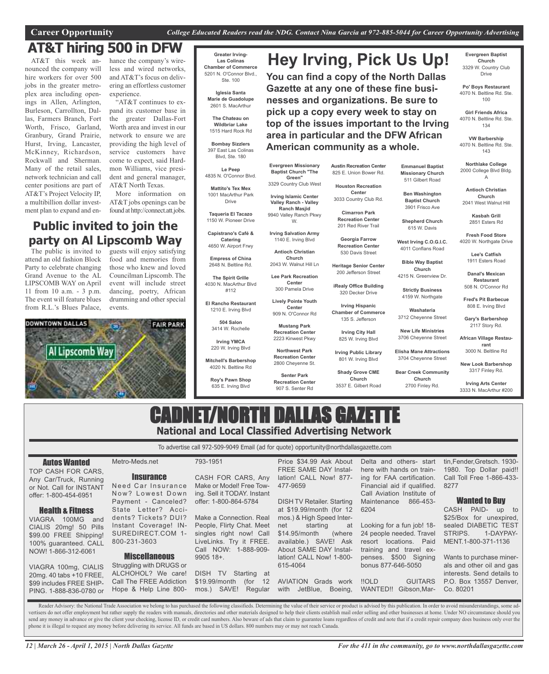### **AT&T hiring 500 in DFW**

AT&T this week announced the company will hire workers for over 500 jobs in the greater metroplex area including openings in Allen, Arlington, Burleson, Carrollton, Dallas, Farmers Branch, Fort Worth, Frisco, Garland, Granbury, Grand Prairie, Hurst, Irving, Lancaster, McKinney, Richardson, Rockwall and Sherman. Many of the retail sales, network technician and call center positions are part of AT&T's Project Velocity IP, a multibillion dollar investment plan to expand and enhance the company's wireless and wired networks, and AT&T's focus on delivering an effortless customer experience.

"AT&T continues to expand its customer base in the greater Dallas-Fort Worth area and invest in our network to ensure we are providing the high level of service customers have come to expect, said Hardmon Williams, vice president and general manager, AT&T North Texas.

More information on AT&T jobs openings can be found at http://connect.att.jobs.

### **Public invited to join the party on Al Lipscomb Way**

The public is invited to attend an old fashion Block Party to celebrate changing Grand Avenue to the AL LIPSCOMB WAY on April 11 from 10 a.m. - 3 p.m. The event will feature blues from R.L.'s Blues Palace,

guests will enjoy satisfying food and memories from those who knew and loved Councilman Lipscomb. The event will include street dancing, poetry, African drumming and other special events.



**Greater Irving-Las Colinas Chamber of Commerce** 5201 N. O'Connor Blvd., Ste. 100

> **Iglesia Santa Marie de Guadolupe** 2601 S. MacArthur

**The Chateau on Wildbriar Lake** 1515 Hard Rock Rd

**Bombay Sizzlers** 397 East Las Colinas Blvd, Ste. 180

**Le Peep** 4835 N. O'Connor Blvd. **Mattito's Tex Mex**

1001 MacArthur Park Drive **Taqueria El Tacazo** 1150 W. Pioneer Drive

**Capistrano's Café & Catering**

4650 W. Airport Frwy **Empress of China**

2648 N. Beltline Rd.

**The Spirit Grille** 4030 N. MacArthur Blvd #112

**El Rancho Restaurant** 1210 E. Irving Blvd

**504 Salon** 3414 W. Rochelle

**Irving YMCA** 220 W. Irving Blvd

**Mitchell's Barbershop** 4020 N. Beltline Rd

**Roy's Pawn Shop** 635 E. Irving Blvd

**Hey Irving, Pick Us Up!**

**Green"**

**Irving Islamic Center Valley Ranch - Valley Ranch Masjid** 9940 Valley Ranch Pkwy W. **Irving Salvation Army** 1140 E. Irving Blvd **Antioch Christian Church** 2043 W. Walnut Hill Ln **Lee Park Recreation Center** 300 Pamela Drive

**Center**

**Mustang Park**

**Recreation Center** 907 S. Senter Rd

**You can find a copy of the North Dallas Gazette at any one of these fine businesses and organizations. Be sure to pick up a copy every week to stay on top of the issues important to the Irving area in particular and the DFW African American community as a whole.**

**Evergreen Missionary Baptist Church "The** 3329 Country Club West **Austin Recreation Center** 825 E. Union Bower Rd.

**Center**

**Cimarron Park**

201 Red River Trail

200 Jefferson Street

320 Decker Drive

**Church**

**Houston Recreation Missionary Church** 511 Gilbert Road **Ben Washington**

**Shepherd Church** 615 W. Davis

> **West Irving C.O.G.I.C.** 4011 Conflans Road

**Emmanuel Baptist**

**Baptist Church** 3901 Frisco Ave

**Bible Way Baptist Church** 4215 N. Greenview Dr.

**Strictly Business** 4159 W. Northgate

3712 Cheyenne Street **New Life Ministries** 3706 Cheyenne Street **Elisha Mane Attractions** 3704 Cheyenne Street **Bear Creek Community Church** 2700 Finley Rd.

**Washateria Fred's Pit Barbecue** 808 E. Irving Blvd

> **Gary's Barbershop** 2117 Story Rd.

**Evergreen Baptist Church** 3329 W. Country Club Drive **Po' Boys Restaurant** 4070 N. Beltline Rd. Ste. 100 **Girl Friends Africa** 4070 N. Beltline Rd. Ste. 134 **VW Barbership** 4070 N. Beltline Rd. Ste. 143 **Northlake College** 2000 College Blvd Bldg. A **Antioch Christian Church** 2041 West Walnut Hill **Kasbah Grill** 2851 Esters Rd **Fresh Food Store** 4020 W. Northgate Drive **Lee's Catfish** 1911 Esters Road **Danal's Mexican Restaurant** 508 N. O'Connor Rd

**African Village Restaurant** 3000 N. Beltline Rd

**New Look Barbershop** 3317 Finley Rd.

**Irving Arts Center** 3333 N. MacArthur #200

### CADNET/NORTH DALLAS GAZETTE **National and Local Classified Advertising Network**

To advertise call 972-509-9049 Email (ad for quote) opportunity@northdallasgazette.com

Autos Wanted

TOP CASH FOR CARS, Any Car/Truck, Running or Not. Call for INSTANT offer: 1-800-454-6951

### Health & Fitness VIAGRA 100MG and CIALIS 20mg! 50 Pills \$99.00 FREE Shipping! 100% guaranteed. CALL NOW! 1-866-312-6061

VIAGRA 100mg, CIALIS 20mg. 40 tabs +10 FREE, \$99 includes FREE SHIP-PING. 1-888-836-0780 or Need Car Insurance Now? Lowest Down Payment - Canceled? State Letter? Accidents? Tickets? DUI? Instant Coverage! IN-SUREDIRECT.COM 1-

**Miscellaneous** 

Metro-Meds.net

800-231-3603

**Insurance** 

Struggling with DRUGS or ALCHOHOL? We care! Call The FREE Addiction Hope & Help Line 800-

CASH FOR CARS, Any Make or Model! Free Towing. Sell it TODAY. Instant offer: 1-800-864-5784

793-1951

Make a Connection. Real People, Flirty Chat. Meet singles right now! Call LiveLinks. Try it FREE. Call NOW: 1-888-909- 9905 18+.

DISH TV Starting at \$19.99/month (for 12 mos.) SAVE! Regular

Price \$34.99 Ask About FREE SAME DAY Installation! CALL Now! 877- 477-9659

DISH TV Retailer. Starting at \$19.99/month (for 12 mos.) & High Speed Internet starting at \$14.95/month (where available.) SAVE! Ask About SAME DAY Installation! CALL Now! 1-800- 615-4064 AVIATION Grads work

with JetBlue, Boeing,

Delta and others- start here with hands on training for FAA certification. Financial aid if qualified. Call Aviation Institute of Maintenance 866-453- 6204

Looking for a fun job! 18- 24 people needed. Travel resort locations. Paid training and travel expenses. \$500 Signing bonus 877-646-5050

!!OLD GUITARS WANTED!! Gibson,Martin,Fender,Gretsch. 1930- 1980. Top Dollar paid!! Call Toll Free 1-866-433- 8277

### Wanted to Buy

CASH PAID- up to \$25/Box for unexpired, sealed DIABETIC TEST STRIPS. 1-DAYPAY-MENT.1-800-371-1136

Wants to purchase minerals and other oil and gas interests. Send details to P.O. Box 13557 Denver, Co. 80201

Reader Advisory: the National Trade Association we belong to has purchased the following classifieds. Determining the value of their service or product is advised by this publication. In order to avoid misunderstandings, s vertisers do not offer employment but rather supply the readers with manuals, directories and other materials designed to help their clients establish mail order selling and other businesses at home. Under NO circumstance send any money in advance or give the client your checking, license ID, or credit card numbers. Also beware of ads that claim to guarantee loans regardless of credit and note that if a credit repair company does business o phone it is illegal to request any money before delivering its service. All funds are based in US dollars. 800 numbers may or may not reach Canada.

909 N. O'Connor Rd **Irving City Hall**

**Georgia Farrow**

**iRealy Office Building**

**Irving Hispanic Chamber of Commerce**

**Recreation Center** 2223 Kinwest Pkwy **Northwest Park Recreation Center** 2800 Cheyenne St. **Senter Park**

**Lively Pointe Youth**

801 W. Irving Blvd

3537 E. Gilbert Road

**Recreation Center** 530 Davis Street **Heritage Senior Center**

135 S. Jefferson

825 W. Irving Blvd

**Irving Public Library**

**Shady Grove CME**

3033 Country Club Rd. **Recreation Center**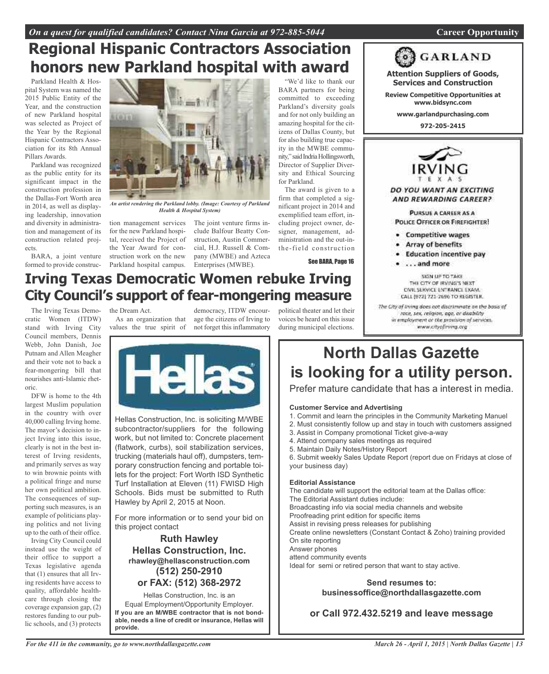## **Regional Hispanic Contractors Association honors new Parkland hospital with award**

Parkland Health & Hospital System was named the 2015 Public Entity of the Year, and the construction of new Parkland hospital was selected as Project of the Year by the Regional Hispanic Contractors Association for its 8th Annual Pillars Awards.

Parkland was recognized as the public entity for its significant impact in the construction profession in the Dallas-Fort Worth area in 2014, as well as displaying leadership, innovation and diversity in administration and management of its construction related projects.

BARA, a joint venture formed to provide construc-



*An artist rendering the Parkland lobby. (Image: Courtesy of Parkland Health & Hospital System)*

tion management services for the new Parkland hospital, received the Project of the Year Award for construction work on the new Parkland hospital campus. Enterprises (MWBE).

The joint venture firms include Balfour Beatty Construction, Austin Commercial, H.J. Russell & Company (MWBE) and Azteca

"We'd like to thank our BARA partners for being committed to exceeding Parkland's diversity goals and for not only building an amazing hospital for the citizens of Dallas County, but for also building true capacity in the MWBE community," said Indria Hollingsworth, Director of Supplier Diversity and Ethical Sourcing for Parkland.

The award is given to a firm that completed a significant project in 2014 and exemplified team effort, including project owner, designer, management, administration and the out-inthe-field construction

See BARA, Page 16

## **Irving Texas Democratic Women rebuke Irving City Council's support of fear-mongering measure**

The Irving Texas Democratic Women (ITDW) stand with Irving City Council members, Dennis Webb, John Danish, Joe Putnam and Allen Meagher and their vote not to back a fear-mongering bill that nourishes anti-Islamic rhetoric.

DFW is home to the 4th largest Muslim population in the country with over 40,000 calling Irving home. The mayor's decision to inject Irving into this issue, clearly is not in the best interest of Irving residents, and primarily serves as way to win brownie points with a political fringe and nurse her own political ambition. The consequences of supporting such measures, is an example of politicians playing politics and not living up to the oath of their office.

Irving City Council could instead use the weight of their office to support a Texas legislative agenda that (1) ensures that all Irving residents have access to quality, affordable healthcare through closing the coverage expansion gap, (2) restores funding to our public schools, and (3) protects

the Dream Act. As an organization that values the true spirit of

democracy, ITDW encourage the citizens of Irving to not forget this inflammatory

political theater and let their voices be heard on this issue during municipal elections.



Hellas Construction, Inc. is soliciting M/WBE subcontractor/suppliers for the following work, but not limited to: Concrete placement (flatwork, curbs), soil stabilization services, trucking (materials haul off), dumpsters, temporary construction fencing and portable toilets for the project: Fort Worth ISD Synthetic Turf Installation at Eleven (11) FWISD High Schools. Bids must be submitted to Ruth Hawley by April 2, 2015 at Noon.

For more information or to send your bid on this project contact

> **Ruth Hawley Hellas Construction, Inc. rhawley@hellasconstruction.com (512) 250-2910 or FAX: (512) 368-2972**

Hellas Construction, Inc. is an Equal Employment/Opportunity Employer. **If you are an M/WBE contractor that is not bondable, needs a line of credit or insurance, Hellas will provide.**

## **North Dallas Gazette is looking for a utility person.**

Prefer mature candidate that has a interest in media.

### **Customer Service and Advertising**

- 1. Commit and learn the principles in the Community Marketing Manuel
- 2. Must consistently follow up and stay in touch with customers assigned
- 3. Assist in Company promotional Ticket give-a-way
- 4. Attend company sales meetings as required
- 5. Maintain Daily Notes/History Report

6. Submit weekly Sales Update Report (report due on Fridays at close of your business day)

### **Editorial Assistance**

The candidate will support the editorial team at the Dallas office: The Editorial Assistant duties include: Broadcasting info via social media channels and website Proofreading print edition for specific items Assist in revising press releases for publishing Create online newsletters (Constant Contact & Zoho) training provided On site reporting Answer phones attend community events Ideal for semi or retired person that want to stay active.

### **Send resumes to: businessoffice@northdallasgazette.com**

**or Call 972.432.5219 and leave message**

**Attention Suppliers of Goods, Services and Construction Review Competitive Opportunities at www.bidsync.com www.garlandpurchasing.com 972-205-2415**

DO YOU WANT AN EXCITING AND REWARDING CAREER? PURSUE A CAREER AS A POLICE OFFICER OR FIREFIGHTER!

· Competitive wages • Array of benefits

 $\bullet$  ... and more

· Education incentive pay

SIGN UP TO TAKE THE CITY OF IRVING'S NEXT. CIVIL SERVICE ENTRANCE EXAM. CALL (972) 721-2696 TO REGISTER. The City of Irving does not discriminate on the basis of race, sex, religion, age, or disability in employment or the provision of services. www.cityofirving.org

**03 GARLAND**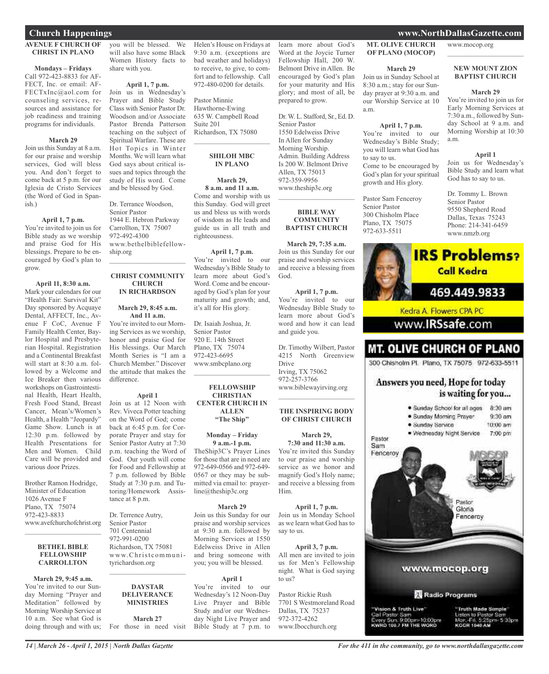### **AVENUE F CHURCH OF CHRIST IN PLANO**

### **Mondays – Fridays**

Call 972-423-8833 for AF-FECT, Inc. or email: AF-FECTxInc@aol.com for counseling services, resources and assistance for job readiness and training programs for individuals.

#### **March 29**

Join us this Sunday at 8 a.m. for our praise and worship services, God will bless you. And don't forget to come back at 5 p.m. for our Iglesia de Cristo Services (the Word of God in Spanish.)

### **April 1, 7 p.m.**

You're invited to join us for Bible study as we worship and praise God for His blessings. Prepare to be encouraged by God's plan to grow.

### **April 11, 8:30 a.m.**

Mark your calendars for our "Health Fair: Survival Kit" Day sponsored by Acquaye Dental, AFFECT, Inc., Avenue F CoC, Avenue F Family Health Center, Baylor Hospital and Presbyterian Hospital. Registration and a Continental Breakfast will start at 8:30 a.m. followed by a Welcome and Ice Breaker then various workshops on Gastrointestinal Health, Heart Health, Fresh Food Stand, Breast Cancer, Mean's/Women's Health, a Health "Jeopardy" Game Show. Lunch is at 12:30 p.m. followed by Health Presentations for Men and Women. Child Care will be provided and various door Prizes.

Brother Ramon Hodridge, Minister of Education 1026 Avenue F Plano, TX 75074 972-423-8833 www.avefchurchofchrist.org

### **BETHEL BIBLE FELLOWSHIP CARROLLTON**

 $\mathcal{L}=\mathcal{L}^{\mathcal{L}}$  , where  $\mathcal{L}^{\mathcal{L}}$  , we have the set of the set of the set of the set of the set of the set of the set of the set of the set of the set of the set of the set of the set of the set of the set of

**March 29, 9:45 a.m.** You're invited to our Sunday Morning "Prayer and Meditation" followed by Morning Worship Service at 10 a.m. See what God is doing through and with us; you will be blessed. We will also have some Black Women History facts to share with you.

**April 1, 7 p.m.**

Join us in Wednesday's Prayer and Bible Study Class with Senior Pastor Dr. Woodson and/or Associate Pastor Brenda Patterson teaching on the subject of Spiritual Warfare. These are Hot Topics in Winter Months. We will learn what God says about critical issues and topics through the study of His word. Come and be blessed by God.

Dr. Terrance Woodson, Senior Pastor 1944 E. Hebron Parkway Carrollton, TX 75007 972-492-4300 www.bethelbiblefellowship.org  $\mathcal{L}_\text{max}$  , which is a set of the set of the set of the set of the set of the set of the set of the set of the set of the set of the set of the set of the set of the set of the set of the set of the set of the set of

### **CHRIST COMMUNITY CHURCH IN RICHARDSON**

### **March 29, 8:45 a.m. And 11 a.m.**

You're invited to our Morning Services as we worship, honor and praise God for His blessings. Our March Month Series is "I am a Church Member." Discover the attitude that makes the difference.

### **April 1**

Join us at 12 Noon with Rev. Viveca Potter teaching on the Word of God; come back at 6:45 p.m. for Corporate Prayer and stay for Senior Pastor Autry at 7:30 p.m. teaching the Word of God. Our youth will come for Food and Fellowship at 7 p.m. followed by Bible Study at 7:30 p.m. and Tutoring/Homework Assistance at 8 p.m.

Dr. Terrence Autry, Senior Pastor 701 Centennial 972-991-0200 Richardson, TX 75081 www.Christcommunityrichardson.org

### **DAYSTAR DELIVERANCE MINISTRIES**

 $\mathcal{L}_\text{max}$  , which is a set of the set of the set of the set of the set of the set of the set of the set of the set of the set of the set of the set of the set of the set of the set of the set of the set of the set of

**March 27** For those in need visit

Helen's House on Fridays at 9:30 a.m. (exceptions are bad weather and holidays) to receive, to give, to comfort and to fellowship. Call 972-480-0200 for details.

Pastor Minnie Hawthorne-Ewing 635 W. Campbell Road Suite 201 Richardson, TX 75080  $\overline{\phantom{a}}$  , and the set of the set of the set of the set of the set of the set of the set of the set of the set of the set of the set of the set of the set of the set of the set of the set of the set of the set of the s

### **SHILOH MBC IN PLANO**

#### **March 29, 8 a.m. and 11 a.m.**

Come and worship with us this Sunday. God will greet us and bless us with words of wisdom as He leads and guide us in all truth and righteousness.

### **April 1, 7 p.m.**

You're invited to our Wednesday's Bible Study to learn more about God's Word. Come and be encouraged by God's plan for your maturity and growth; and, it's all for His glory.

Dr. Isaiah Joshua, Jr. Senior Pastor 920 E. 14th Street Plano, TX 75074 972-423-6695 www.smbcplano.org

### **FELLOWSHIP CHRISTIAN CENTER CHURCH IN ALLEN "The Ship"**

 $\mathcal{L}=\mathcal{L}^{\mathcal{L}}$  , where  $\mathcal{L}^{\mathcal{L}}$  , we have the set of the set of the set of the set of the set of the set of the set of the set of the set of the set of the set of the set of the set of the set of the set of

**Monday – Friday 9 a.m.-1 p.m.** TheShip3C's Prayer Lines for those that are in need are 972-649-0566 and 972-649- 0567 or they may be submitted via email to: prayerline@theship3c.org

#### **March 29**

Join us this Sunday for our praise and worship services at 9:30 a.m. followed by Morning Services at 1550 Edelweiss Drive in Allen and bring someone with you; you will be blessed.

### **April 1**

You're invited to our Wednesday's 12 Noon-Day Live Prayer and Bible Study and/or our Wednesday Night Live Prayer and Bible Study at 7 p.m. to

learn more about God's Word at the Joycie Turner Fellowship Hall, 200 W. Belmont Drive in Allen. Be encouraged by God's plan for your maturity and His glory; and most of all, be prepared to grow.

Dr.W. L. Stafford, Sr., Ed. D. Senior Pastor 1550 Edelweiss Drive In Allen for Sunday Morning Worship. Admin. Building Address Is 200 W. Belmont Drive Allen, TX 75013 972-359-9956 www.theship3c.org

### **BIBLE WAY COMMUNITY BAPTIST CHURCH**

 $\mathcal{L}$  , and the set of the set of the set of the set of the set of the set of the set of the set of the set of the set of the set of the set of the set of the set of the set of the set of the set of the set of the set

**March 29, 7:35 a.m.** Join us this Sunday for our praise and worship services and receive a blessing from God.

**April 1, 7 p.m.** You're invited to our Wednesday Bible Study to learn more about God's word and how it can lead and guide you.

Dr. Timothy Wilbert, Pastor 4215 North Greenview Drive Irving, TX 75062 972-257-3766 www.biblewayirving.org

### **THE INSPIRING BODY OF CHRIST CHURCH**

 $\mathcal{L}=\mathcal{L}^{\mathcal{L}}$  , where  $\mathcal{L}^{\mathcal{L}}$  , we have the set of the set of the set of the set of the set of the set of the set of the set of the set of the set of the set of the set of the set of the set of the set of

**March 29, 7:30 and 11:30 a.m.** You're invited this Sunday to our praise and worship service as we honor and magnify God's Holy name; and receive a blessing from Him.

**April 1, 7 p.m.** Join us in Monday School as we learn what God has to

say to us.

**April 3, 7 p.m.** All men are invited to join us for Men's Fellowship night. What is God saying to us?

Pastor Rickie Rush 7701 S Westmoreland Road Dallas, TX 75237 972-372-4262 www.Ibocchurch.org

### **MT. OLIVE CHURCH OF PLANO (MOCOP)**

#### **March 29**

Join us in Sunday School at 8:30 a.m.; stay for our Sunday prayer at 9:30 a.m. and our Worship Service at 10 a.m.

### **April 1, 7 p.m.**

You're invited to our Wednesday's Bible Study; you will learn what God has to say to us. Come to be encouraged by God's plan for your spiritual growth and His glory.

Pastor Sam Fenceroy Senior Pastor 300 Chisholm Place Plano, TX 75075 972-633-5511

### $\mathcal{L}=\mathcal{L}^{\mathcal{L}}$  , where  $\mathcal{L}^{\mathcal{L}}$  , we have the set of the set of the set of the set of the set of the set of the set of the set of the set of the set of the set of the set of the set of the set of the set of **NEW MOUNT ZION BAPTIST CHURCH**

### **March 29**

You're invited to join us for Early Morning Services at 7:30 a.m., followed by Sunday School at 9 a.m. and Morning Worship at 10:30 a.m.

#### **April 1**

Join us for Wednesday's Bible Study and learn what God has to say to us.

Dr. Tommy L. Brown Senior Pastor 9550 Shepherd Road Dallas, Texas 75243 Phone: 214-341-6459 www.nmzb.org

**IRS Problems?** 



"Vision & Truth Live" Call Pastor Sam<br>Every Sun: 9:00pm-10:00pm<br>KWRD 100.7 FM THE WORD

'Truth Made Simple'

 $m-5.30$ pm

Listen to Pastor Sem Mon.-Fri. 5:25pr<br>KCCR 1949 AM

### **Church Happenings www.NorthDallasGazette.com**

www.mocop.org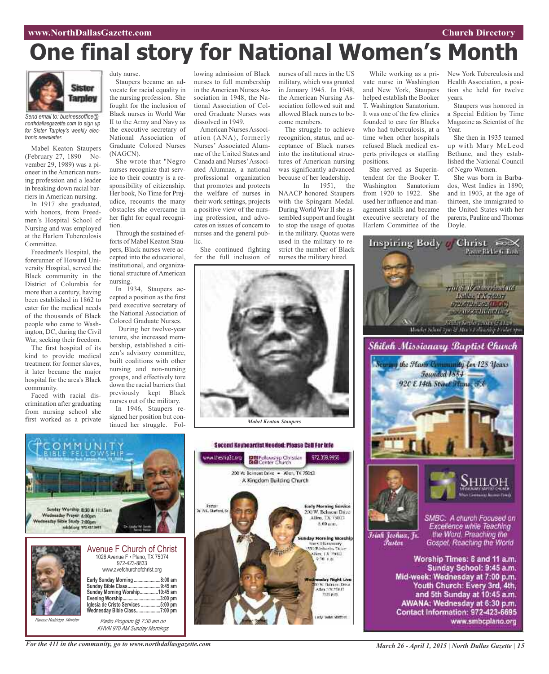# **One final story for National Women's Month**



*Send email to: businessoffice@ northdallasgazette.com to sign up for Sister Tarpley's weekly electronic newsletter.*

Mabel Keaton Staupers (February 27, 1890 – November 29, 1989) was a pioneer in the American nursing profession and a leader in breaking down racial barriers in American nursing.

In 1917 she graduated, with honors, from Freedmen's Hospital School of Nursing and was employed at the Harlem Tuberculosis Committee.

Freedmen's Hospital, the forerunner of Howard University Hospital, served the Black community in the District of Columbia for more than a century, having been established in 1862 to cater for the medical needs of the thousands of Black people who came to Washington, DC, during the Civil War, seeking their freedom.

The first hospital of its kind to provide medical treatment for former slaves, it later became the major hospital for the area's Black community.

Faced with racial discrimination after graduating from nursing school she first worked as a private

*Ramon Hodridge, Minister*

duty nurse.

Staupers became an advocate for racial equality in the nursing profession. She fought for the inclusion of Black nurses in World War II to the Army and Navy as the executive secretary of National Association of Graduate Colored Nurses (NAGCN).

She wrote that "Negro nurses recognize that service to their country is a responsibility of citizenship. Her book, No Time for Prejudice, recounts the many obstacles she overcame in her fight for equal recognition.

Through the sustained efforts of Mabel Keaton Staupers, Black nurses were accepted into the educational, institutional, and organizational structure of American nursing.

In 1934, Staupers accepted a position as the first paid executive secretary of the National Association of Colored Graduate Nurses.

During her twelve-year tenure, she increased membership, established a citizen's advisory committee, built coalitions with other nursing and non-nursing groups, and effectively tore down the racial barriers that previously kept Black nurses out of the military.

In 1946, Staupers resigned her position but continued her struggle. Fol-

lowing admission of Black nurses to full membership in the American Nurses Association in 1948, the National Association of Colored Graduate Nurses was dissolved in 1949.

American Nurses Association (ANA), formerly Nurses' Associated Alumnae of the United States and Canada and Nurses'Associated Alumnae, a national professional organization that promotes and protects the welfare of nurses in their work settings, projects a positive view of the nursing profession, and advocates on issues of concern to nurses and the general public.

She continued fighting for the full inclusion of

www.thesnipDo.org

Pastor<br>W.L. Starford, S

nurses of all races in the US military, which was granted in January 1945. In 1948, the American Nursing Association followed suit and allowed Black nurses to become members.

The struggle to achieve recognition, status, and acceptance of Black nurses into the institutional structures of American nursing was significantly advanced because of her leadership.

In 1951, the NAACP honored Staupers with the Spingarn Medal. During World War II she assembled support and fought to stop the usage of quotas in the military. Quotas were used in the military to restrict the number of Black nurses the military hired.

While working as a private nurse in Washington and New York, Staupers helped establish the Booker T. Washington Sanatorium. It was one of the few clinics founded to care for Blacks who had tuberculosis, at a time when other hospitals refused Black medical experts privileges or staffing positions.

She served as Superintendent for the Booker T. Washington Sanatorium from 1920 to 1922. She used her influence and management skills and became executive secretary of the Harlem Committee of the

New York Tuberculosis and Health Association, a position she held for twelve years.

Staupers was honored in a Special Edition by Time Magazine as Scientist of the Year.

She then in 1935 teamed up with Mary McLeod Bethune, and they established the National Council of Negro Women.

She was born in Barbados, West Indies in 1890; and in 1903, at the age of thirteen, she immigrated to the United States with her parents, Pauline and Thomas Doyle.





Second Keybeardist Needed: Please Call For Info

DBFelowskip Christian<br>BGConter Church

200 W. Bernont Drive - Allen, TX 75013 A Kingdom Building Church

972.359.9955

**Early Morning Service** 

200 W. Behueni Drive

Allen, TX 75013.

8.00 um.

Sunday Morning Worship<br>
Mary Licenceary<br>
Microsoft Patent<br>
Microsoft Patent<br>
Microsoft

 $970.88$ 

day Night Live

036. Bahim Ditsi<br>Alm DX 75013

7:05 p.m.



*Radio Program @ 7:30 am on*

**Iglesia de Cristo Services ................5:00 pm**

*KHVN 970 AM Sunday Mornings*

*For the 411 in the community, go to www.northdallasgazette.com*

 $\breve{\text{W}}$ ednesday Bible Class.